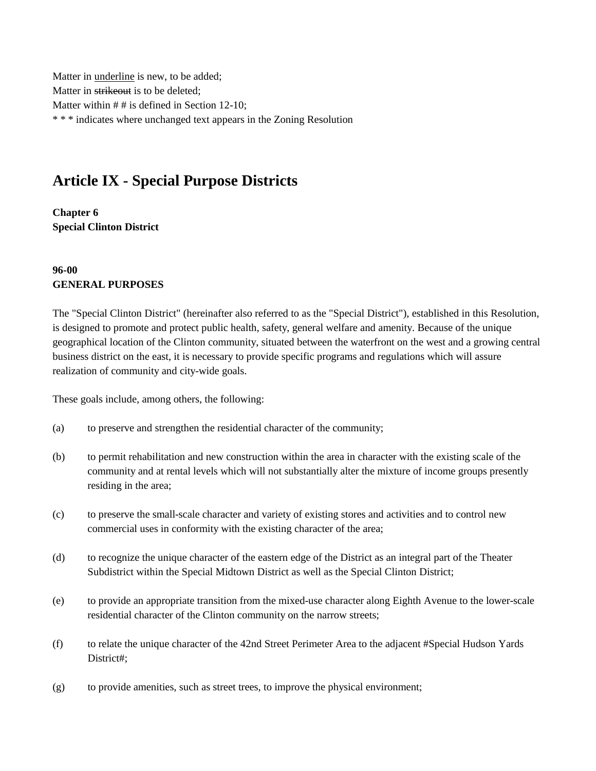Matter in underline is new, to be added; Matter in strikeout is to be deleted: Matter within  $# #$  is defined in Section 12-10; \* \* \* indicates where unchanged text appears in the Zoning Resolution

# **Article IX - Special Purpose Districts**

**Chapter 6 Special Clinton District**

## **96-00 GENERAL PURPOSES**

The "Special Clinton District" (hereinafter also referred to as the "Special District"), established in this Resolution, is designed to promote and protect public health, safety, general welfare and amenity. Because of the unique geographical location of the Clinton community, situated between the waterfront on the west and a growing central business district on the east, it is necessary to provide specific programs and regulations which will assure realization of community and city-wide goals.

These goals include, among others, the following:

- (a) to preserve and strengthen the residential character of the community;
- (b) to permit rehabilitation and new construction within the area in character with the existing scale of the community and at rental levels which will not substantially alter the mixture of income groups presently residing in the area;
- (c) to preserve the small-scale character and variety of existing stores and activities and to control new commercial uses in conformity with the existing character of the area;
- (d) to recognize the unique character of the eastern edge of the District as an integral part of the Theater Subdistrict within the Special Midtown District as well as the Special Clinton District;
- (e) to provide an appropriate transition from the mixed-use character along Eighth Avenue to the lower-scale residential character of the Clinton community on the narrow streets;
- (f) to relate the unique character of the 42nd Street Perimeter Area to the adjacent #Special Hudson Yards District#;
- (g) to provide amenities, such as street trees, to improve the physical environment;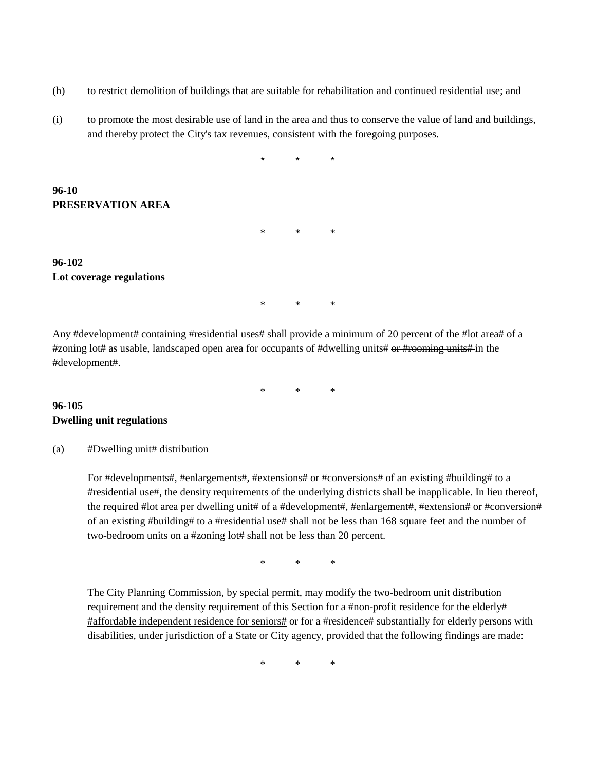- (h) to restrict demolition of buildings that are suitable for rehabilitation and continued residential use; and
- (i) to promote the most desirable use of land in the area and thus to conserve the value of land and buildings, and thereby protect the City's tax revenues, consistent with the foregoing purposes.

\* \* \* \* \* \*

#### **96-102 Lot coverage regulations**

**PRESERVATION AREA**

**96-10**

Any #development# containing #residential uses# shall provide a minimum of 20 percent of the #lot area# of a #zoning lot# as usable, landscaped open area for occupants of #dwelling units# or #rooming units# in the #development#.

\* \* \*

\* \* \*

## **96-105 Dwelling unit regulations**

#### (a) #Dwelling unit# distribution

For #developments#, #enlargements#, #extensions# or #conversions# of an existing #building# to a #residential use#, the density requirements of the underlying districts shall be inapplicable. In lieu thereof, the required #lot area per dwelling unit# of a #development#, #enlargement#, #extension# or #conversion# of an existing #building# to a #residential use# shall not be less than 168 square feet and the number of two-bedroom units on a #zoning lot# shall not be less than 20 percent.

\* \* \*

The City Planning Commission, by special permit, may modify the two-bedroom unit distribution requirement and the density requirement of this Section for a #non-profit residence for the elderly# #affordable independent residence for seniors# or for a #residence# substantially for elderly persons with disabilities, under jurisdiction of a State or City agency, provided that the following findings are made:

\* \* \*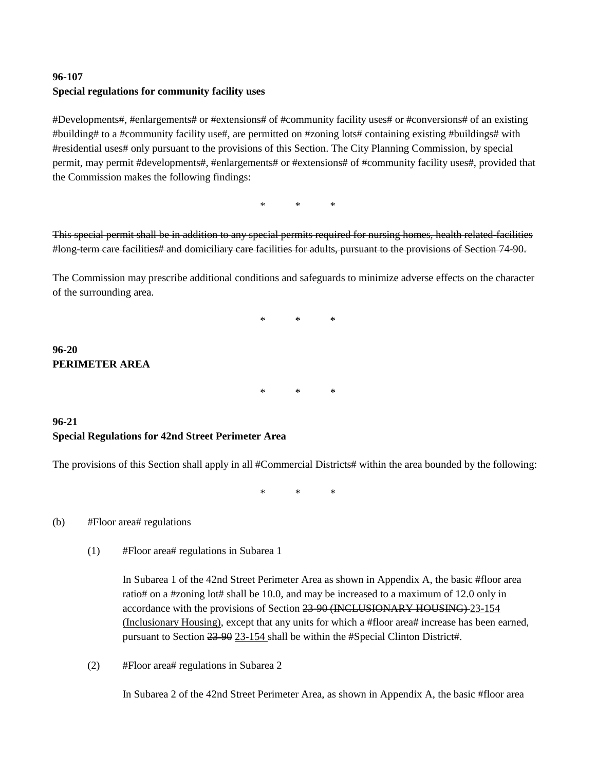# **96-107 Special regulations for community facility uses**

#Developments#, #enlargements# or #extensions# of #community facility uses# or #conversions# of an existing #building# to a #community facility use#, are permitted on #zoning lots# containing existing #buildings# with #residential uses# only pursuant to the provisions of this Section. The City Planning Commission, by special permit, may permit #developments#, #enlargements# or #extensions# of #community facility uses#, provided that the Commission makes the following findings:

\* \* \*

This special permit shall be in addition to any special permits required for nursing homes, health related-facilities #long-term care facilities# and domiciliary care facilities for adults, pursuant to the provisions of Section 74-90.

The Commission may prescribe additional conditions and safeguards to minimize adverse effects on the character of the surrounding area.

\* \* \*

## **96-20 PERIMETER AREA**

\* \* \*

#### **96-21 Special Regulations for 42nd Street Perimeter Area**

The provisions of this Section shall apply in all #Commercial Districts# within the area bounded by the following:

\* \* \*

#### (b) #Floor area# regulations

(1) #Floor area# regulations in Subarea 1

In Subarea 1 of the 42nd Street Perimeter Area as shown in Appendix A, the basic #floor area ratio# on a #zoning lot# shall be 10.0, and may be increased to a maximum of 12.0 only in accordance with the provisions of Section 23-90 (INCLUSIONARY HOUSING) 23-154 (Inclusionary Housing), except that any units for which a #floor area# increase has been earned, pursuant to Section 23-90 23-154 shall be within the #Special Clinton District#.

(2) #Floor area# regulations in Subarea 2

In Subarea 2 of the 42nd Street Perimeter Area, as shown in Appendix A, the basic #floor area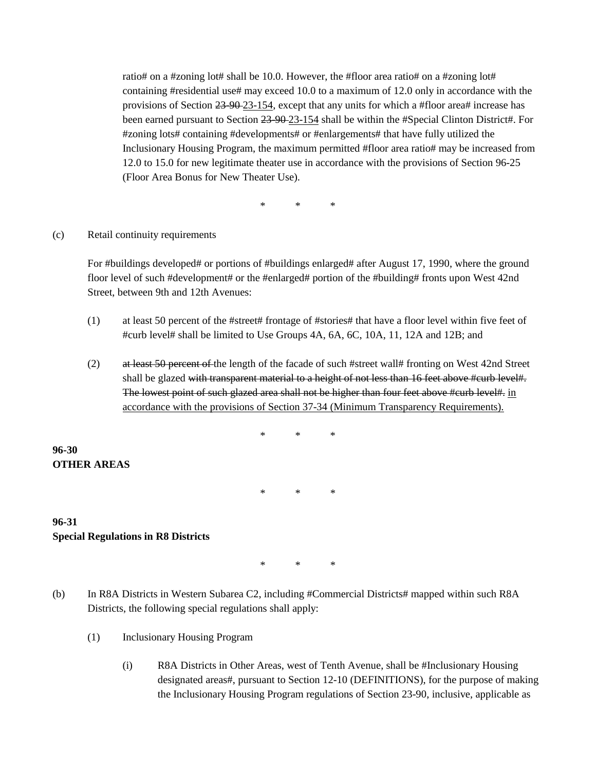ratio# on a #zoning lot# shall be 10.0. However, the #floor area ratio# on a #zoning lot# containing #residential use# may exceed 10.0 to a maximum of 12.0 only in accordance with the provisions of Section 23-90-23-154, except that any units for which a #floor area# increase has been earned pursuant to Section 23-90-23-154 shall be within the #Special Clinton District#. For #zoning lots# containing #developments# or #enlargements# that have fully utilized the Inclusionary Housing Program, the maximum permitted #floor area ratio# may be increased from 12.0 to 15.0 for new legitimate theater use in accordance with the provisions of Section 96-25 (Floor Area Bonus for New Theater Use).

\* \* \*

#### (c) Retail continuity requirements

For #buildings developed# or portions of #buildings enlarged# after August 17, 1990, where the ground floor level of such #development# or the #enlarged# portion of the #building# fronts upon West 42nd Street, between 9th and 12th Avenues:

- (1) at least 50 percent of the #street# frontage of #stories# that have a floor level within five feet of #curb level# shall be limited to Use Groups 4A, 6A, 6C, 10A, 11, 12A and 12B; and
- (2) at least 50 percent of the length of the facade of such #street wall# fronting on West 42nd Street shall be glazed with transparent material to a height of not less than 16 feet above #curb level#. The lowest point of such glazed area shall not be higher than four feet above #curb level#, in accordance with the provisions of Section 37-34 (Minimum Transparency Requirements).

**96-30 OTHER AREAS**

\* \* \*

\* \* \*

#### **96-31 Special Regulations in R8 Districts**

\* \* \*

- (b) In R8A Districts in Western Subarea C2, including #Commercial Districts# mapped within such R8A Districts, the following special regulations shall apply:
	- (1) Inclusionary Housing Program
		- (i) R8A Districts in Other Areas, west of Tenth Avenue, shall be #Inclusionary Housing designated areas#, pursuant to Section 12-10 (DEFINITIONS), for the purpose of making the Inclusionary Housing Program regulations of Section 23-90, inclusive, applicable as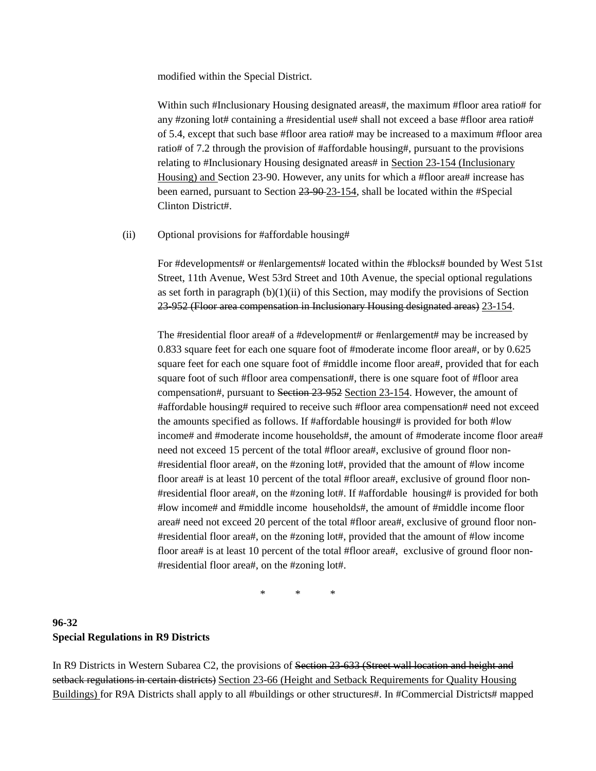modified within the Special District.

Within such #Inclusionary Housing designated areas#, the maximum #floor area ratio# for any #zoning lot# containing a #residential use# shall not exceed a base #floor area ratio# of 5.4, except that such base #floor area ratio# may be increased to a maximum #floor area ratio# of 7.2 through the provision of #affordable housing#, pursuant to the provisions relating to #Inclusionary Housing designated areas# in Section 23-154 (Inclusionary Housing) and Section 23-90. However, any units for which a #floor area# increase has been earned, pursuant to Section 23-90 23-154, shall be located within the #Special Clinton District#.

#### (ii) Optional provisions for #affordable housing#

For #developments# or #enlargements# located within the #blocks# bounded by West 51st Street, 11th Avenue, West 53rd Street and 10th Avenue, the special optional regulations as set forth in paragraph  $(b)(1)(ii)$  of this Section, may modify the provisions of Section 23-952 (Floor area compensation in Inclusionary Housing designated areas) 23-154.

The #residential floor area# of a #development# or #enlargement# may be increased by 0.833 square feet for each one square foot of #moderate income floor area#, or by 0.625 square feet for each one square foot of #middle income floor area#, provided that for each square foot of such #floor area compensation#, there is one square foot of #floor area compensation#, pursuant to Section 23-952 Section 23-154. However, the amount of #affordable housing# required to receive such #floor area compensation# need not exceed the amounts specified as follows. If #affordable housing# is provided for both #low income# and #moderate income households#, the amount of #moderate income floor area# need not exceed 15 percent of the total #floor area#, exclusive of ground floor non- #residential floor area#, on the #zoning lot#, provided that the amount of #low income floor area# is at least 10 percent of the total #floor area#, exclusive of ground floor non- #residential floor area#, on the #zoning lot#. If #affordable housing# is provided for both #low income# and #middle income households#, the amount of #middle income floor area# need not exceed 20 percent of the total #floor area#, exclusive of ground floor non- #residential floor area#, on the #zoning lot#, provided that the amount of #low income floor area# is at least 10 percent of the total #floor area#, exclusive of ground floor non-#residential floor area#, on the #zoning lot#.

\* \* \*

## **96-32 Special Regulations in R9 Districts**

In R9 Districts in Western Subarea C2, the provisions of <del>Section 23-633 (Street wall location and height and</del> setback regulations in certain districts) Section 23-66 (Height and Setback Requirements for Quality Housing Buildings) for R9A Districts shall apply to all #buildings or other structures#. In #Commercial Districts# mapped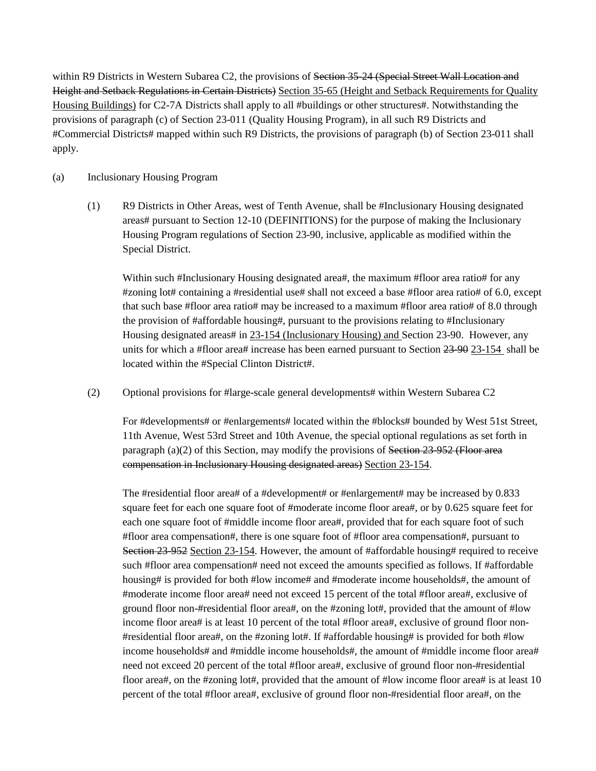within R9 Districts in Western Subarea C2, the provisions of <del>Section 35-24 (Special Street Wall Location and</del> Height and Setback Regulations in Certain Districts) Section 35-65 (Height and Setback Requirements for Quality Housing Buildings) for C2-7A Districts shall apply to all #buildings or other structures#. Notwithstanding the provisions of paragraph (c) of Section 23-011 (Quality Housing Program), in all such R9 Districts and #Commercial Districts# mapped within such R9 Districts, the provisions of paragraph (b) of Section 23-011 shall apply.

#### (a) Inclusionary Housing Program

(1) R9 Districts in Other Areas, west of Tenth Avenue, shall be #Inclusionary Housing designated areas# pursuant to Section 12-10 (DEFINITIONS) for the purpose of making the Inclusionary Housing Program regulations of Section 23-90, inclusive, applicable as modified within the Special District.

Within such #Inclusionary Housing designated area#, the maximum #floor area ratio# for any #zoning lot# containing a #residential use# shall not exceed a base #floor area ratio# of 6.0, except that such base #floor area ratio# may be increased to a maximum #floor area ratio# of 8.0 through the provision of #affordable housing#, pursuant to the provisions relating to #Inclusionary Housing designated areas# in 23-154 (Inclusionary Housing) and Section 23-90. However, any units for which a #floor area# increase has been earned pursuant to Section 23-90 23-154 shall be located within the #Special Clinton District#.

(2) Optional provisions for #large-scale general developments# within Western Subarea C2

For #developments# or #enlargements# located within the #blocks# bounded by West 51st Street, 11th Avenue, West 53rd Street and 10th Avenue, the special optional regulations as set forth in paragraph  $(a)(2)$  of this Section, may modify the provisions of Section 23-952 (Floor area compensation in Inclusionary Housing designated areas) Section 23-154.

The #residential floor area# of a #development# or #enlargement# may be increased by 0.833 square feet for each one square foot of #moderate income floor area#, or by 0.625 square feet for each one square foot of #middle income floor area#, provided that for each square foot of such #floor area compensation#, there is one square foot of #floor area compensation#, pursuant to Section 23-952 Section 23-154. However, the amount of #affordable housing# required to receive such #floor area compensation# need not exceed the amounts specified as follows. If #affordable housing# is provided for both #low income# and #moderate income households#, the amount of #moderate income floor area# need not exceed 15 percent of the total #floor area#, exclusive of ground floor non-#residential floor area#, on the #zoning lot#, provided that the amount of #low income floor area# is at least 10 percent of the total #floor area#, exclusive of ground floor non- #residential floor area#, on the #zoning lot#. If #affordable housing# is provided for both #low income households# and #middle income households#, the amount of #middle income floor area# need not exceed 20 percent of the total #floor area#, exclusive of ground floor non-#residential floor area#, on the #zoning lot#, provided that the amount of #low income floor area# is at least 10 percent of the total #floor area#, exclusive of ground floor non-#residential floor area#, on the